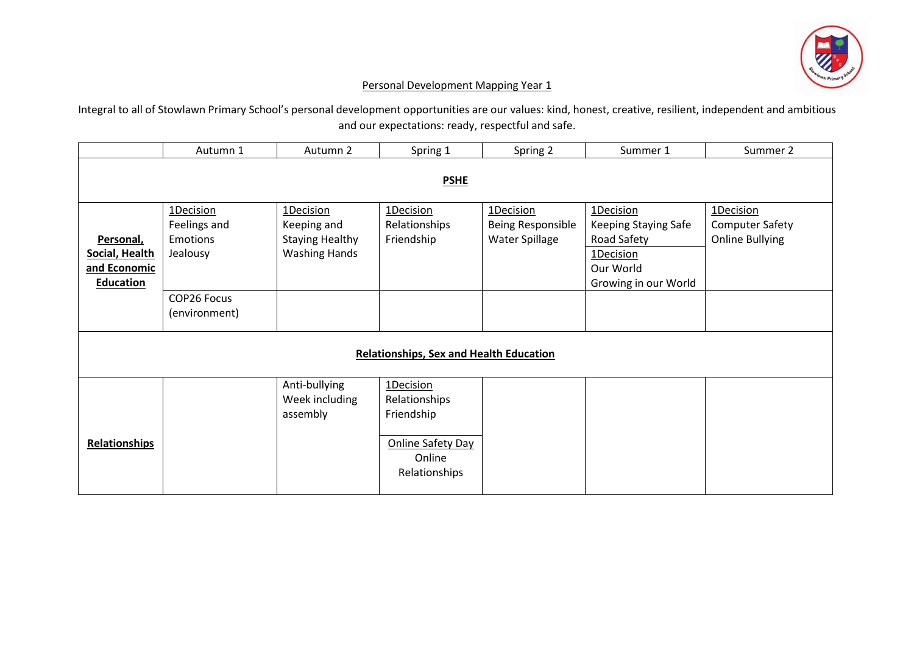

## Personal Development Mapping Year 1

Integral to all of Stowlawn Primary School's personal development opportunities are our values: kind, honest, creative, resilient, independent and ambitious and our expectations: ready, respectful and safe.

|                                                | Autumn 1      | Autumn 2               | Spring 1                 | Spring 2          | Summer 1             | Summer 2               |  |  |
|------------------------------------------------|---------------|------------------------|--------------------------|-------------------|----------------------|------------------------|--|--|
| <b>PSHE</b>                                    |               |                        |                          |                   |                      |                        |  |  |
|                                                |               |                        |                          |                   |                      |                        |  |  |
|                                                | 1Decision     | 1Decision              | 1Decision                | 1Decision         | 1Decision            | 1Decision              |  |  |
|                                                | Feelings and  | Keeping and            | Relationships            | Being Responsible | Keeping Staying Safe | <b>Computer Safety</b> |  |  |
| Personal,                                      | Emotions      | <b>Staying Healthy</b> | Friendship               | Water Spillage    | Road Safety          | <b>Online Bullying</b> |  |  |
| Social, Health                                 | Jealousy      | <b>Washing Hands</b>   |                          |                   | 1Decision            |                        |  |  |
| and Economic                                   |               |                        |                          |                   | Our World            |                        |  |  |
| <b>Education</b>                               |               |                        |                          |                   | Growing in our World |                        |  |  |
|                                                | COP26 Focus   |                        |                          |                   |                      |                        |  |  |
|                                                | (environment) |                        |                          |                   |                      |                        |  |  |
|                                                |               |                        |                          |                   |                      |                        |  |  |
| <b>Relationships, Sex and Health Education</b> |               |                        |                          |                   |                      |                        |  |  |
|                                                |               |                        |                          |                   |                      |                        |  |  |
|                                                |               | Anti-bullying          | 1Decision                |                   |                      |                        |  |  |
|                                                |               | Week including         | Relationships            |                   |                      |                        |  |  |
|                                                |               | assembly               | Friendship               |                   |                      |                        |  |  |
|                                                |               |                        |                          |                   |                      |                        |  |  |
| <b>Relationships</b>                           |               |                        | <b>Online Safety Day</b> |                   |                      |                        |  |  |
|                                                |               |                        | Online                   |                   |                      |                        |  |  |
|                                                |               |                        | Relationships            |                   |                      |                        |  |  |
|                                                |               |                        |                          |                   |                      |                        |  |  |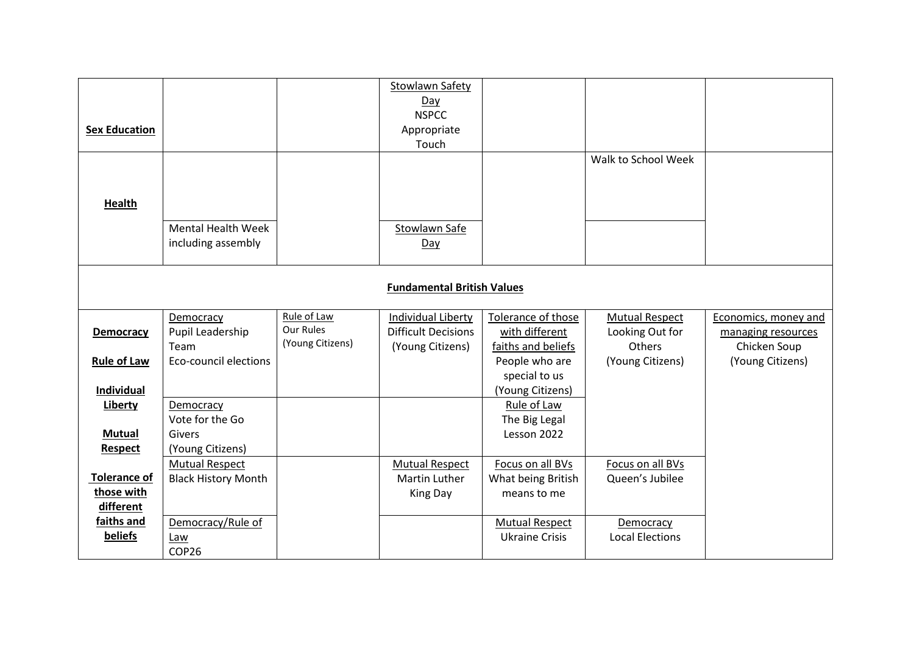| <b>Sex Education</b><br><b>Health</b>                                  |                                                                |                                              | <b>Stowlawn Safety</b><br>Day<br><b>NSPCC</b><br>Appropriate<br>Touch |                                                                                               | Walk to School Week                                                    |                                                                                |  |
|------------------------------------------------------------------------|----------------------------------------------------------------|----------------------------------------------|-----------------------------------------------------------------------|-----------------------------------------------------------------------------------------------|------------------------------------------------------------------------|--------------------------------------------------------------------------------|--|
|                                                                        | <b>Mental Health Week</b><br>including assembly                |                                              | Stowlawn Safe<br>Day                                                  |                                                                                               |                                                                        |                                                                                |  |
| <b>Fundamental British Values</b>                                      |                                                                |                                              |                                                                       |                                                                                               |                                                                        |                                                                                |  |
| <b>Democracy</b><br><b>Rule of Law</b>                                 | Democracy<br>Pupil Leadership<br>Team<br>Eco-council elections | Rule of Law<br>Our Rules<br>(Young Citizens) | Individual Liberty<br><b>Difficult Decisions</b><br>(Young Citizens)  | Tolerance of those<br>with different<br>faiths and beliefs<br>People who are<br>special to us | <b>Mutual Respect</b><br>Looking Out for<br>Others<br>(Young Citizens) | Economics, money and<br>managing resources<br>Chicken Soup<br>(Young Citizens) |  |
| <b>Individual</b><br><b>Liberty</b><br><b>Mutual</b><br><b>Respect</b> | Democracy<br>Vote for the Go<br>Givers<br>(Young Citizens)     |                                              |                                                                       | (Young Citizens)<br>Rule of Law<br>The Big Legal<br>Lesson 2022                               |                                                                        |                                                                                |  |
| <b>Tolerance of</b><br>those with<br>different                         | <b>Mutual Respect</b><br><b>Black History Month</b>            |                                              | <b>Mutual Respect</b><br>Martin Luther<br>King Day                    | Focus on all BVs<br>What being British<br>means to me                                         | Focus on all BVs<br>Queen's Jubilee                                    |                                                                                |  |
| faiths and<br>beliefs                                                  | Democracy/Rule of<br>Law<br>COP26                              |                                              |                                                                       | <b>Mutual Respect</b><br><b>Ukraine Crisis</b>                                                | Democracy<br><b>Local Elections</b>                                    |                                                                                |  |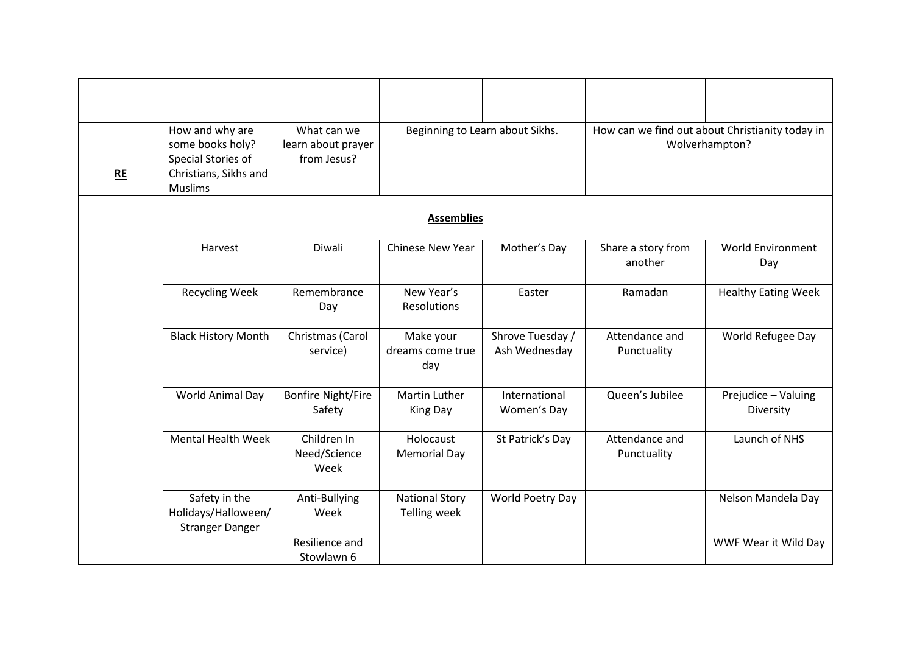| <b>RE</b> | How and why are<br>some books holy?<br>Special Stories of<br>Christians, Sikhs and<br><b>Muslims</b> | What can we<br>learn about prayer<br>from Jesus? | Beginning to Learn about Sikhs.              |                                   | How can we find out about Christianity today in<br>Wolverhampton? |                                  |  |  |  |
|-----------|------------------------------------------------------------------------------------------------------|--------------------------------------------------|----------------------------------------------|-----------------------------------|-------------------------------------------------------------------|----------------------------------|--|--|--|
|           | <b>Assemblies</b>                                                                                    |                                                  |                                              |                                   |                                                                   |                                  |  |  |  |
|           | Harvest                                                                                              | Diwali                                           | <b>Chinese New Year</b>                      | Mother's Day                      | Share a story from<br>another                                     | <b>World Environment</b><br>Day  |  |  |  |
|           | <b>Recycling Week</b>                                                                                | Remembrance<br>Day                               | New Year's<br><b>Resolutions</b>             | Easter                            | Ramadan                                                           | <b>Healthy Eating Week</b>       |  |  |  |
|           | <b>Black History Month</b>                                                                           | Christmas (Carol<br>service)                     | Make your<br>dreams come true<br>day         | Shrove Tuesday /<br>Ash Wednesday | Attendance and<br>Punctuality                                     | World Refugee Day                |  |  |  |
|           | World Animal Day                                                                                     | <b>Bonfire Night/Fire</b><br>Safety              | <b>Martin Luther</b><br>King Day             | International<br>Women's Day      | Queen's Jubilee                                                   | Prejudice - Valuing<br>Diversity |  |  |  |
|           | <b>Mental Health Week</b>                                                                            | Children In<br>Need/Science<br>Week              | Holocaust<br><b>Memorial Day</b>             | St Patrick's Day                  | Attendance and<br>Punctuality                                     | Launch of NHS                    |  |  |  |
|           | Safety in the<br>Holidays/Halloween/<br><b>Stranger Danger</b>                                       | Anti-Bullying<br>Week                            | <b>National Story</b><br><b>Telling week</b> | World Poetry Day                  |                                                                   | Nelson Mandela Day               |  |  |  |
|           |                                                                                                      | Resilience and<br>Stowlawn 6                     |                                              |                                   |                                                                   | WWF Wear it Wild Day             |  |  |  |